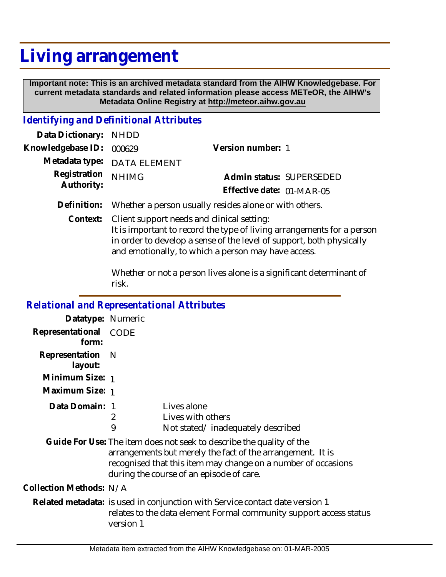## **Living arrangement**

 **Important note: This is an archived metadata standard from the AIHW Knowledgebase. For current metadata standards and related information please access METeOR, the AIHW's Metadata Online Registry at http://meteor.aihw.gov.au**

## *Identifying and Definitional Attributes*

| Data Dictionary: NHDD    |                                                                    |                           |  |
|--------------------------|--------------------------------------------------------------------|---------------------------|--|
| Knowledgebase ID: 000629 |                                                                    | Version number: 1         |  |
|                          | Metadata type: DATA ELEMENT                                        |                           |  |
| Registration             | <b>NHIMG</b>                                                       | Admin status: SUPERSEDED  |  |
| Authority:               |                                                                    | Effective date: 01-MAR-05 |  |
|                          | Definition: Whether a person usually resides alone or with others. |                           |  |

Context: Client support needs and clinical setting: It is important to record the type of living arrangements for a person in order to develop a sense of the level of support, both physically and emotionally, to which a person may have access.

> Whether or not a person lives alone is a significant determinant of risk.

| <b>Relational and Representational Attributes</b> |                                                                                                                                                                 |                                                                                                                                                                                                                                                 |
|---------------------------------------------------|-----------------------------------------------------------------------------------------------------------------------------------------------------------------|-------------------------------------------------------------------------------------------------------------------------------------------------------------------------------------------------------------------------------------------------|
| Datatype: Numeric                                 |                                                                                                                                                                 |                                                                                                                                                                                                                                                 |
| Representational<br>form:                         | CODE                                                                                                                                                            |                                                                                                                                                                                                                                                 |
| Representation<br>layout:                         | - N                                                                                                                                                             |                                                                                                                                                                                                                                                 |
| Minimum Size: 1                                   |                                                                                                                                                                 |                                                                                                                                                                                                                                                 |
| Maximum Size: 1                                   |                                                                                                                                                                 |                                                                                                                                                                                                                                                 |
| Data Domain: 1                                    | 2<br>9                                                                                                                                                          | Lives alone<br>Lives with others<br>Not stated/inadequately described                                                                                                                                                                           |
|                                                   |                                                                                                                                                                 | Guide For Use: The item does not seek to describe the quality of the<br>arrangements but merely the fact of the arrangement. It is<br>recognised that this item may change on a number of occasions<br>during the course of an episode of care. |
| Collection Methods: N/A                           |                                                                                                                                                                 |                                                                                                                                                                                                                                                 |
|                                                   | Related metadata: is used in conjunction with Service contact date version 1<br>relates to the data element Formal community support access status<br>version 1 |                                                                                                                                                                                                                                                 |